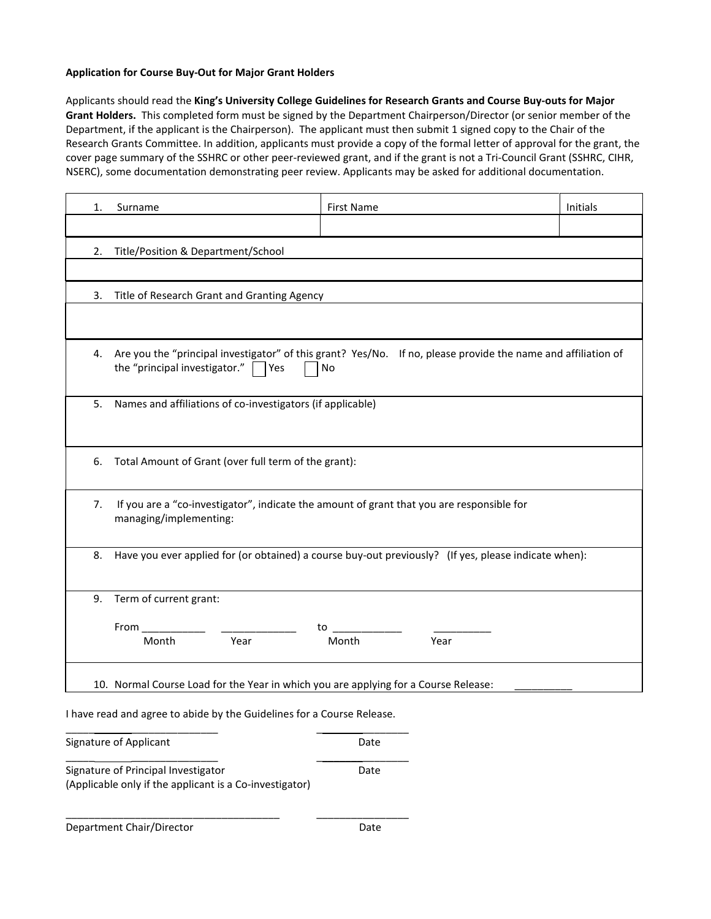## **Application for Course Buy-Out for Major Grant Holders**

Applicants should read the **King's University College Guidelines for Research Grants and Course Buy-outs for Major Grant Holders.** This completed form must be signed by the Department Chairperson/Director (or senior member of the Department, if the applicant is the Chairperson). The applicant must then submit 1 signed copy to the Chair of the Research Grants Committee. In addition, applicants must provide a copy of the formal letter of approval for the grant, the cover page summary of the SSHRC or other peer-reviewed grant, and if the grant is not a Tri-Council Grant (SSHRC, CIHR, NSERC), some documentation demonstrating peer review. Applicants may be asked for additional documentation.

| 1. | Surname                                                                                                                                                         | <b>First Name</b> | Initials |  |  |  |
|----|-----------------------------------------------------------------------------------------------------------------------------------------------------------------|-------------------|----------|--|--|--|
|    |                                                                                                                                                                 |                   |          |  |  |  |
| 2. | Title/Position & Department/School                                                                                                                              |                   |          |  |  |  |
|    |                                                                                                                                                                 |                   |          |  |  |  |
| 3. | Title of Research Grant and Granting Agency                                                                                                                     |                   |          |  |  |  |
|    |                                                                                                                                                                 |                   |          |  |  |  |
| 4. | Are you the "principal investigator" of this grant? Yes/No. If no, please provide the name and affiliation of<br>the "principal investigator." $\Box$ Yes<br>No |                   |          |  |  |  |
| 5. | Names and affiliations of co-investigators (if applicable)                                                                                                      |                   |          |  |  |  |
| 6. | Total Amount of Grant (over full term of the grant):                                                                                                            |                   |          |  |  |  |
| 7. | If you are a "co-investigator", indicate the amount of grant that you are responsible for<br>managing/implementing:                                             |                   |          |  |  |  |
| 8. | Have you ever applied for (or obtained) a course buy-out previously? (If yes, please indicate when):                                                            |                   |          |  |  |  |
| 9. | Term of current grant:                                                                                                                                          |                   |          |  |  |  |
|    | $From  \_ \_ \_ \_ \_ \_ \_ \_$<br>Month<br>Year                                                                                                                | Month<br>Year     |          |  |  |  |
|    | 10. Normal Course Load for the Year in which you are applying for a Course Release:<br>Lhaus sead and agree to abide buths Cuidelines for a Course Delegae      |                   |          |  |  |  |

I have read and agree to abide by the Guidelines for a Course Release.

| Signature of Applicant                                                                         | Date |
|------------------------------------------------------------------------------------------------|------|
| Signature of Principal Investigator<br>(Applicable only if the applicant is a Co-investigator) | Date |
| Department Chair/Director                                                                      | Date |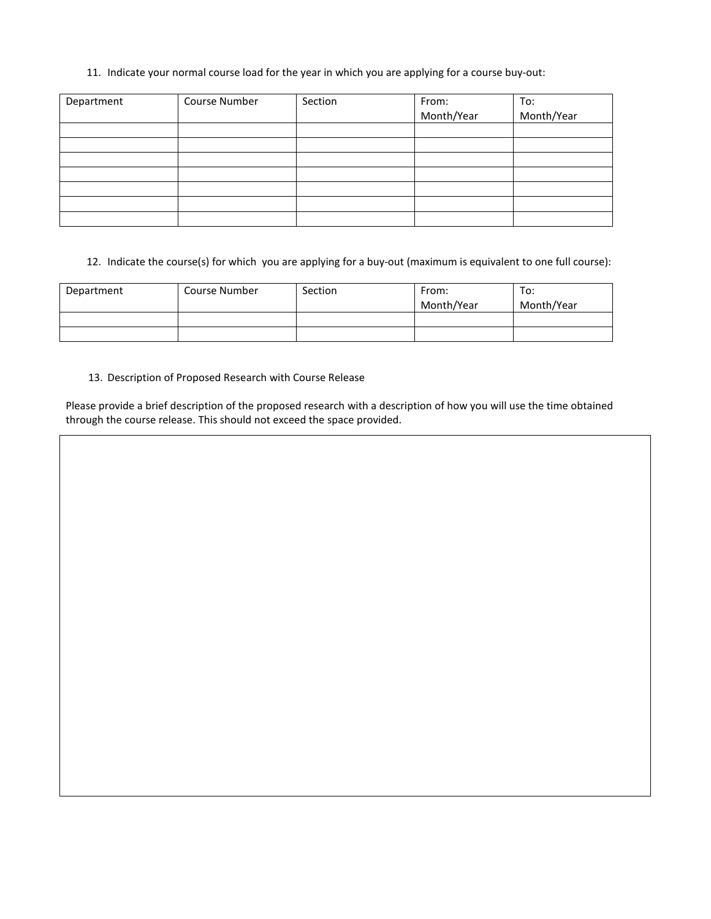## 11. Indicate your normal course load for the year in which you are applying for a course buy-out:

| Department | Course Number | Section | From:<br>Month/Year | To:<br>Month/Year |
|------------|---------------|---------|---------------------|-------------------|
|            |               |         |                     |                   |
|            |               |         |                     |                   |
|            |               |         |                     |                   |
|            |               |         |                     |                   |
|            |               |         |                     |                   |
|            |               |         |                     |                   |
|            |               |         |                     |                   |

12. Indicate the course(s) for which you are applying for a buy-out (maximum is equivalent to one full course):

| Department | Course Number | Section | From:<br>Month/Year | To:<br>Month/Year |
|------------|---------------|---------|---------------------|-------------------|
|            |               |         |                     |                   |
|            |               |         |                     |                   |

## 13. Description of Proposed Research with Course Release

Please provide a brief description of the proposed research with a description of how you will use the time obtained through the course release. This should not exceed the space provided.